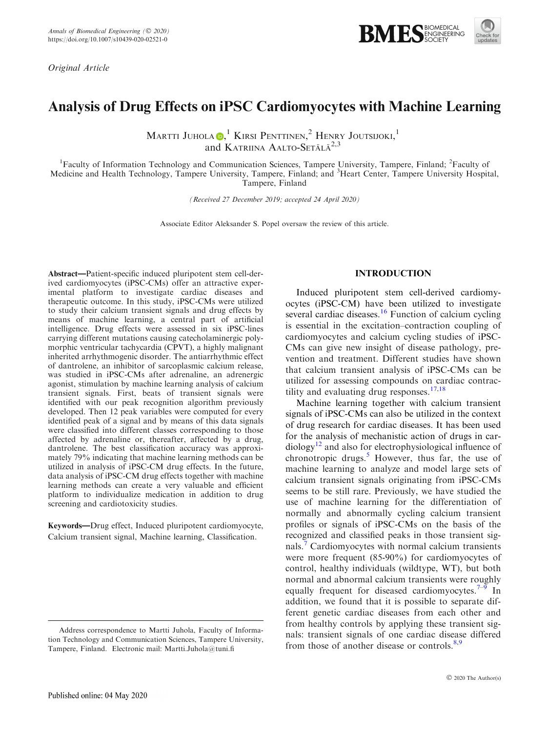Original Article



# Analysis of Drug Effects on iPSC Cardiomyocytes with Machine Learning

Martti Juhola $\textbf{0},^1$  Kirsi Penttinen, $^2$  Henry Joutsijoki, $^1$ and Katriina Aalto-Setälä<sup>2,3</sup>

<sup>1</sup>Faculty of Information Technology and Communication Sciences, Tampere University, Tampere, Finland; <sup>2</sup>Faculty of Medicine and Health Technology, Tampere University, Tampere, Finland; and <sup>3</sup>Heart Center, Tampere University Hospital, Tampere, Finland

(Received 27 December 2019; accepted 24 April 2020)

Associate Editor Aleksander S. Popel oversaw the review of this article.

Abstract—Patient-specific induced pluripotent stem cell-derived cardiomyocytes (iPSC-CMs) offer an attractive experimental platform to investigate cardiac diseases and therapeutic outcome. In this study, iPSC-CMs were utilized to study their calcium transient signals and drug effects by means of machine learning, a central part of artificial intelligence. Drug effects were assessed in six iPSC-lines carrying different mutations causing catecholaminergic polymorphic ventricular tachycardia (CPVT), a highly malignant inherited arrhythmogenic disorder. The antiarrhythmic effect of dantrolene, an inhibitor of sarcoplasmic calcium release, was studied in iPSC-CMs after adrenaline, an adrenergic agonist, stimulation by machine learning analysis of calcium transient signals. First, beats of transient signals were identified with our peak recognition algorithm previously developed. Then 12 peak variables were computed for every identified peak of a signal and by means of this data signals were classified into different classes corresponding to those affected by adrenaline or, thereafter, affected by a drug, dantrolene. The best classification accuracy was approximately 79% indicating that machine learning methods can be utilized in analysis of iPSC-CM drug effects. In the future, data analysis of iPSC-CM drug effects together with machine learning methods can create a very valuable and efficient platform to individualize medication in addition to drug screening and cardiotoxicity studies.

Keywords—Drug effect, Induced pluripotent cardiomyocyte, Calcium transient signal, Machine learning, Classification.

Published online: 04 May 2020

# INTRODUCTION

Induced pluripotent stem cell-derived cardiomyocytes (iPSC-CM) have been utilized to investigate several cardiac diseases.<sup>[16](#page-9-0)</sup> Function of calcium cycling is essential in the excitation–contraction coupling of cardiomyocytes and calcium cycling studies of iPSC-CMs can give new insight of disease pathology, prevention and treatment. Different studies have shown that calcium transient analysis of iPSC-CMs can be utilized for assessing compounds on cardiac contractility and evaluating drug responses. $17,18$ 

Machine learning together with calcium transient signals of iPSC-CMs can also be utilized in the context of drug research for cardiac diseases. It has been used for the analysis of mechanistic action of drugs in car- $\text{diology}^{12}$  $\text{diology}^{12}$  $\text{diology}^{12}$  and also for electrophysiological influence of chronotropic drugs.<sup>[5](#page-8-0)</sup> However, thus far, the use of machine learning to analyze and model large sets of calcium transient signals originating from iPSC-CMs seems to be still rare. Previously, we have studied the use of machine learning for the differentiation of normally and abnormally cycling calcium transient profiles or signals of iPSC-CMs on the basis of the recognized and classified peaks in those transient signals.[7](#page-9-0) Cardiomyocytes with normal calcium transients were more frequent (85-90%) for cardiomyocytes of control, healthy individuals (wildtype, WT), but both normal and abnormal calcium transients were roughly equally frequent for diseased cardiomyocytes.<sup>[7–9](#page-9-0)</sup> In addition, we found that it is possible to separate different genetic cardiac diseases from each other and from healthy controls by applying these transient signals: transient signals of one cardiac disease differed from those of another disease or controls.<sup>[8,9](#page-9-0)</sup>

Address correspondence to Martti Juhola, Faculty of Information Technology and Communication Sciences, Tampere University, Tampere, Finland. Electronic mail: Martti.Juhola@tuni.fi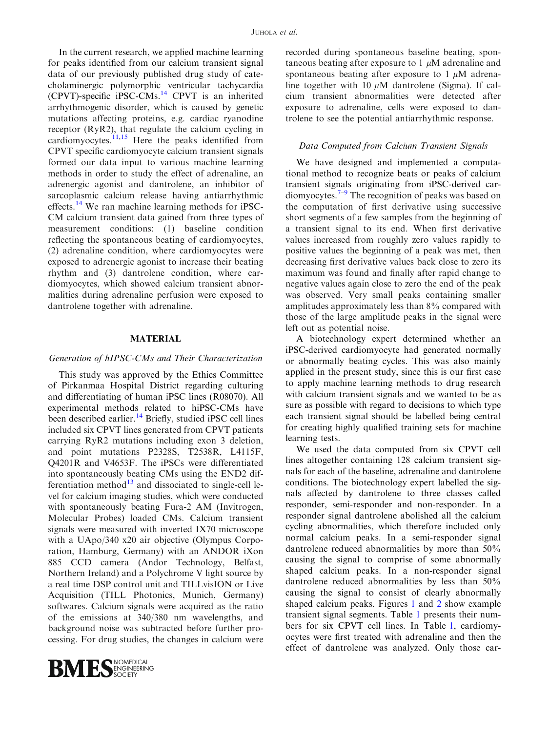In the current research, we applied machine learning for peaks identified from our calcium transient signal data of our previously published drug study of catecholaminergic polymorphic ventricular tachycardia (CPVT)-specific iPSC-CMs. $^{14}$  CPVT is an inherited arrhythmogenic disorder, which is caused by genetic mutations affecting proteins, e.g. cardiac ryanodine receptor (RyR2), that regulate the calcium cycling in cardiomyocytes.<sup>11,15</sup> Here the peaks identified from CPVT specific cardiomyocyte calcium transient signals formed our data input to various machine learning methods in order to study the effect of adrenaline, an adrenergic agonist and dantrolene, an inhibitor of sarcoplasmic calcium release having antiarrhythmic effects.<sup>[14](#page-9-0)</sup> We ran machine learning methods for iPSC-CM calcium transient data gained from three types of measurement conditions: (1) baseline condition reflecting the spontaneous beating of cardiomyocytes, (2) adrenaline condition, where cardiomyocytes were exposed to adrenergic agonist to increase their beating rhythm and (3) dantrolene condition, where cardiomyocytes, which showed calcium transient abnormalities during adrenaline perfusion were exposed to dantrolene together with adrenaline.

### MATERIAL

#### Generation of hIPSC-CMs and Their Characterization

This study was approved by the Ethics Committee of Pirkanmaa Hospital District regarding culturing and differentiating of human iPSC lines (R08070). All experimental methods related to hiPSC-CMs have been described earlier.<sup>[14](#page-9-0)</sup> Briefly, studied iPSC cell lines included six CPVT lines generated from CPVT patients carrying RyR2 mutations including exon 3 deletion, and point mutations P2328S, T2538R, L4115F, Q4201R and V4653F. The iPSCs were differentiated into spontaneously beating CMs using the END2 differentiation method $^{13}$  $^{13}$  $^{13}$  and dissociated to single-cell level for calcium imaging studies, which were conducted with spontaneously beating Fura-2 AM (Invitrogen, Molecular Probes) loaded CMs. Calcium transient signals were measured with inverted IX70 microscope with a UApo/340 x20 air objective (Olympus Corporation, Hamburg, Germany) with an ANDOR iXon 885 CCD camera (Andor Technology, Belfast, Northern Ireland) and a Polychrome V light source by a real time DSP control unit and TILLvisION or Live Acquisition (TILL Photonics, Munich, Germany) softwares. Calcium signals were acquired as the ratio of the emissions at 340/380 nm wavelengths, and background noise was subtracted before further processing. For drug studies, the changes in calcium were



# Data Computed from Calcium Transient Signals

We have designed and implemented a computational method to recognize beats or peaks of calcium transient signals originating from iPSC-derived cardiomyocytes. $7-9$  The recognition of peaks was based on the computation of first derivative using successive short segments of a few samples from the beginning of a transient signal to its end. When first derivative values increased from roughly zero values rapidly to positive values the beginning of a peak was met, then decreasing first derivative values back close to zero its maximum was found and finally after rapid change to negative values again close to zero the end of the peak was observed. Very small peaks containing smaller amplitudes approximately less than 8% compared with those of the large amplitude peaks in the signal were left out as potential noise.

A biotechnology expert determined whether an iPSC-derived cardiomyocyte had generated normally or abnormally beating cycles. This was also mainly applied in the present study, since this is our first case to apply machine learning methods to drug research with calcium transient signals and we wanted to be as sure as possible with regard to decisions to which type each transient signal should be labelled being central for creating highly qualified training sets for machine learning tests.

We used the data computed from six CPVT cell lines altogether containing 128 calcium transient signals for each of the baseline, adrenaline and dantrolene conditions. The biotechnology expert labelled the signals affected by dantrolene to three classes called responder, semi-responder and non-responder. In a responder signal dantrolene abolished all the calcium cycling abnormalities, which therefore included only normal calcium peaks. In a semi-responder signal dantrolene reduced abnormalities by more than 50% causing the signal to comprise of some abnormally shaped calcium peaks. In a non-responder signal dantrolene reduced abnormalities by less than 50% causing the signal to consist of clearly abnormally shaped calcium peaks. Figures [1](#page-2-0) and [2](#page-3-0) show example transient signal segments. Table [1](#page-4-0) presents their numbers for six CPVT cell lines. In Table [1,](#page-4-0) cardiomyocytes were first treated with adrenaline and then the effect of dantrolene was analyzed. Only those car-

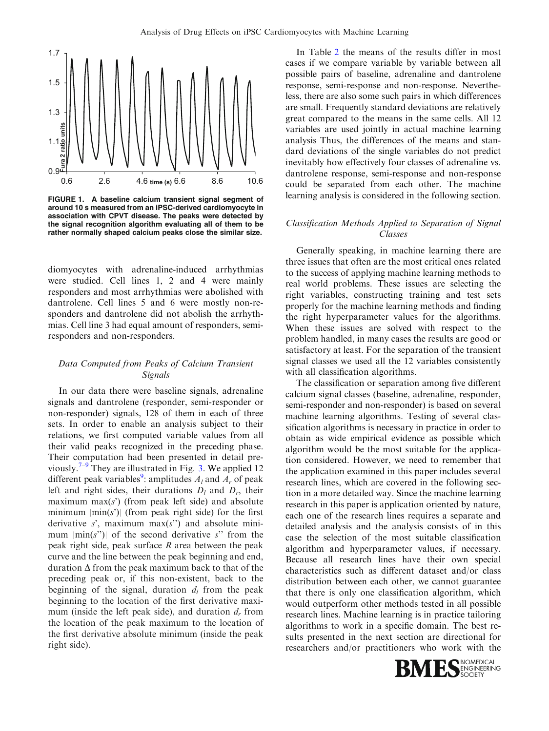<span id="page-2-0"></span>

FIGURE 1. A baseline calcium transient signal segment of around 10 s measured from an iPSC-derived cardiomyocyte in association with CPVT disease. The peaks were detected by the signal recognition algorithm evaluating all of them to be rather normally shaped calcium peaks close the similar size.

diomyocytes with adrenaline-induced arrhythmias were studied. Cell lines 1, 2 and 4 were mainly responders and most arrhythmias were abolished with dantrolene. Cell lines 5 and 6 were mostly non-responders and dantrolene did not abolish the arrhythmias. Cell line 3 had equal amount of responders, semiresponders and non-responders.

### Data Computed from Peaks of Calcium Transient Signals

In our data there were baseline signals, adrenaline signals and dantrolene (responder, semi-responder or non-responder) signals, 128 of them in each of three sets. In order to enable an analysis subject to their relations, we first computed variable values from all their valid peaks recognized in the preceding phase. Their computation had been presented in detail pre-viously.<sup>[7–9](#page-9-0)</sup> They are illustrated in Fig. [3](#page-4-0). We applied 12 different peak variables<sup>[9](#page-9-0)</sup>: amplitudes  $A_l$  and  $A_r$  of peak left and right sides, their durations  $D_l$  and  $D_r$ , their maximum max $(s)$  (from peak left side) and absolute minimum  $|\text{min}(s')|$  (from peak right side) for the first derivative s', maximum  $max(s'')$  and absolute minimum  $|\text{min}(s")|$  of the second derivative s" from the peak right side, peak surface R area between the peak curve and the line between the peak beginning and end, duration  $\Delta$  from the peak maximum back to that of the preceding peak or, if this non-existent, back to the beginning of the signal, duration  $d_l$  from the peak beginning to the location of the first derivative maximum (inside the left peak side), and duration  $d_r$  from the location of the peak maximum to the location of the first derivative absolute minimum (inside the peak right side).

In Table [2](#page-5-0) the means of the results differ in most cases if we compare variable by variable between all possible pairs of baseline, adrenaline and dantrolene response, semi-response and non-response. Nevertheless, there are also some such pairs in which differences are small. Frequently standard deviations are relatively great compared to the means in the same cells. All 12 variables are used jointly in actual machine learning analysis Thus, the differences of the means and standard deviations of the single variables do not predict inevitably how effectively four classes of adrenaline vs. dantrolene response, semi-response and non-response could be separated from each other. The machine learning analysis is considered in the following section.

# Classification Methods Applied to Separation of Signal Classes

Generally speaking, in machine learning there are three issues that often are the most critical ones related to the success of applying machine learning methods to real world problems. These issues are selecting the right variables, constructing training and test sets properly for the machine learning methods and finding the right hyperparameter values for the algorithms. When these issues are solved with respect to the problem handled, in many cases the results are good or satisfactory at least. For the separation of the transient signal classes we used all the 12 variables consistently with all classification algorithms.

The classification or separation among five different calcium signal classes (baseline, adrenaline, responder, semi-responder and non-responder) is based on several machine learning algorithms. Testing of several classification algorithms is necessary in practice in order to obtain as wide empirical evidence as possible which algorithm would be the most suitable for the application considered. However, we need to remember that the application examined in this paper includes several research lines, which are covered in the following section in a more detailed way. Since the machine learning research in this paper is application oriented by nature, each one of the research lines requires a separate and detailed analysis and the analysis consists of in this case the selection of the most suitable classification algorithm and hyperparameter values, if necessary. Because all research lines have their own special characteristics such as different dataset and/or class distribution between each other, we cannot guarantee that there is only one classification algorithm, which would outperform other methods tested in all possible research lines. Machine learning is in practice tailoring algorithms to work in a specific domain. The best results presented in the next section are directional for researchers and/or practitioners who work with the

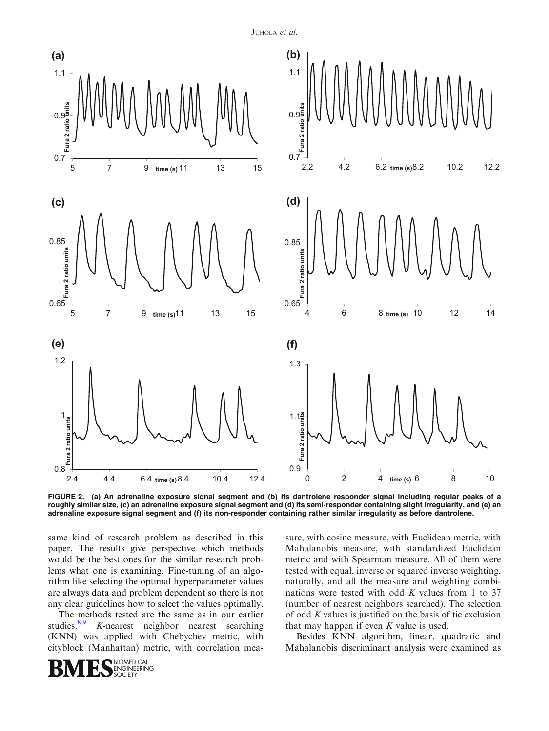<span id="page-3-0"></span>

FIGURE 2. (a) An adrenaline exposure signal segment and (b) its dantrolene responder signal including regular peaks of a roughly similar size, (c) an adrenaline exposure signal segment and (d) its semi-responder containing slight irregularity, and (e) an adrenaline exposure signal segment and (f) its non-responder containing rather similar irregularity as before dantrolene.

same kind of research problem as described in this paper. The results give perspective which methods would be the best ones for the similar research problems what one is examining. Fine-tuning of an algorithm like selecting the optimal hyperparameter values are always data and problem dependent so there is not any clear guidelines how to select the values optimally.

The methods tested are the same as in our earlier studies.<sup>[8](#page-9-0),[9](#page-9-0)</sup> K-nearest neighbor nearest searching (KNN) was applied with Chebychev metric, with cityblock (Manhattan) metric, with correlation mea-



sure, with cosine measure, with Euclidean metric, with Mahalanobis measure, with standardized Euclidean metric and with Spearman measure. All of them were tested with equal, inverse or squared inverse weighting, naturally, and all the measure and weighting combinations were tested with odd  $K$  values from 1 to 37 (number of nearest neighbors searched). The selection of odd  $K$  values is justified on the basis of tie exclusion that may happen if even  $K$  value is used.

Besides KNN algorithm, linear, quadratic and Mahalanobis discriminant analysis were examined as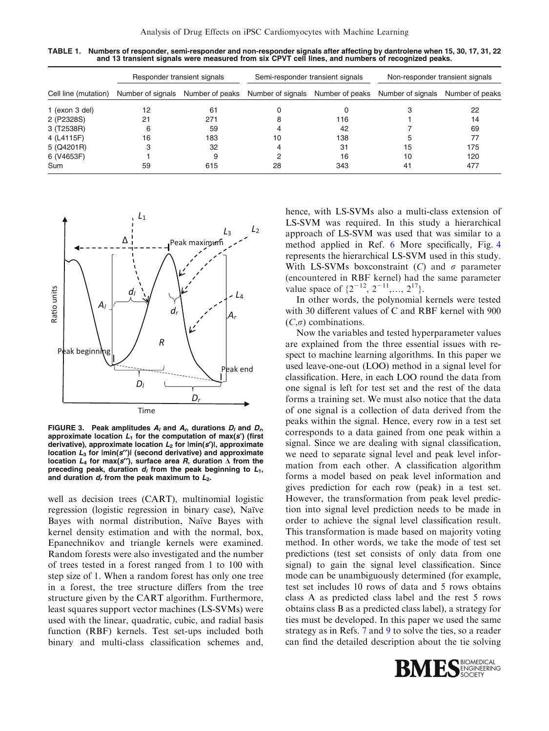| Cell line (mutation) | Responder transient signals |     | Semi-responder transient signals                                                      |     | Non-responder transient signals |                 |
|----------------------|-----------------------------|-----|---------------------------------------------------------------------------------------|-----|---------------------------------|-----------------|
|                      |                             |     | Number of signals Number of peaks Number of signals Number of peaks Number of signals |     |                                 | Number of peaks |
| 1 (exon 3 del)       | 12                          | 61  |                                                                                       |     |                                 | 22              |
| 2 (P2328S)           | 21                          | 271 |                                                                                       | 116 |                                 | 14              |
| 3 (T2538R)           | 6                           | 59  |                                                                                       | 42  |                                 | 69              |
| 4 (L4115F)           | 16                          | 183 | 10                                                                                    | 138 |                                 | 77              |
| 5 (Q4201R)           |                             | 32  |                                                                                       | 31  | 15                              | 175             |
| 6 (V4653F)           |                             |     |                                                                                       | 16  | 10                              | 120             |
| Sum                  | 59                          | 615 | 28                                                                                    | 343 | 41                              | 477             |

<span id="page-4-0"></span>TABLE 1. Numbers of responder, semi-responder and non-responder signals after affecting by dantrolene when 15, 30, 17, 31, 22 and 13 transient signals were measured from six CPVT cell lines, and numbers of recognized peaks.



FIGURE 3. Peak amplitudes  $A_i$  and  $A_i$ , durations  $D_i$  and  $D_i$ approximate location  $L_1$  for the computation of max(s') (first derivative), approximate location  $L_2$  for  $|min(s')|$ , approximate location  $L_3$  for  $|min(s')|$  (second derivative) and approximate location  $L_4$  for max(s''), surface area R, duration  $\Delta$  from the preceding peak, duration  $d_i$  from the peak beginning to  $L_1$ , and duration  $d_r$  from the peak maximum to  $L_2$ .

well as decision trees (CART), multinomial logistic regression (logistic regression in binary case), Naïve Bayes with normal distribution, Naïve Bayes with kernel density estimation and with the normal, box, Epanechnikov and triangle kernels were examined. Random forests were also investigated and the number of trees tested in a forest ranged from 1 to 100 with step size of 1. When a random forest has only one tree in a forest, the tree structure differs from the tree structure given by the CART algorithm. Furthermore, least squares support vector machines (LS-SVMs) were used with the linear, quadratic, cubic, and radial basis function (RBF) kernels. Test set-ups included both binary and multi-class classification schemes and, hence, with LS-SVMs also a multi-class extension of LS-SVM was required. In this study a hierarchical approach of LS-SVM was used that was similar to a method applied in Ref. [6](#page-8-0) More specifically, Fig. [4](#page-5-0) represents the hierarchical LS-SVM used in this study. With LS-SVMs boxconstraint (C) and  $\sigma$  parameter (encountered in RBF kernel) had the same parameter value space of  $\{2^{-12}, 2^{-11}, \ldots, 2^{17}\}.$ 

In other words, the polynomial kernels were tested with 30 different values of C and RBF kernel with 900  $(C,\sigma)$  combinations.

Now the variables and tested hyperparameter values are explained from the three essential issues with respect to machine learning algorithms. In this paper we used leave-one-out (LOO) method in a signal level for classification. Here, in each LOO round the data from one signal is left for test set and the rest of the data forms a training set. We must also notice that the data of one signal is a collection of data derived from the peaks within the signal. Hence, every row in a test set corresponds to a data gained from one peak within a signal. Since we are dealing with signal classification, we need to separate signal level and peak level information from each other. A classification algorithm forms a model based on peak level information and gives prediction for each row (peak) in a test set. However, the transformation from peak level prediction into signal level prediction needs to be made in order to achieve the signal level classification result. This transformation is made based on majority voting method. In other words, we take the mode of test set predictions (test set consists of only data from one signal) to gain the signal level classification. Since mode can be unambiguously determined (for example, test set includes 10 rows of data and 5 rows obtains class A as predicted class label and the rest 5 rows obtains class B as a predicted class label), a strategy for ties must be developed. In this paper we used the same strategy as in Refs. [7](#page-9-0) and [9](#page-9-0) to solve the ties, so a reader can find the detailed description about the tie solving

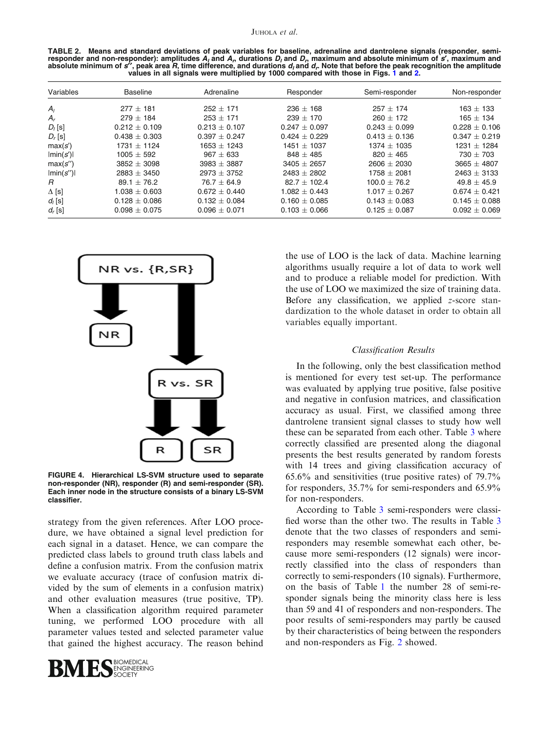<span id="page-5-0"></span>TABLE 2. Means and standard deviations of peak variables for baseline, adrenaline and dantrolene signals (responder, semiresponder and non-responder): amplitudes A<sub>/</sub> and A<sub>/</sub>, durations D<sub>/</sub> and D<sub>/</sub>, maximum and absolute minimum of s′, maximum and<br>absolute minimum of s′′, peak area R, time difference, and durations d<sub>/</sub> and d<sub>/</sub>. Note that values in all signals were multiplied by 1000 compared with those in Figs. [1](#page-2-0) and [2.](#page-3-0)

| Variables       | Baseline<br>Adrenaline |                   | Responder         | Semi-responder    | Non-responder     |  |
|-----------------|------------------------|-------------------|-------------------|-------------------|-------------------|--|
| $A_{I}$         | $277 \pm 181$          | $252 \pm 171$     | $236 \pm 168$     | $257 + 174$       | $163 \pm 133$     |  |
| $A_{r}$         | $279 + 184$            | $253 + 171$       | $239 + 170$       | $260 + 172$       | $165 + 134$       |  |
| $D_{I}$ [s]     | $0.212 \pm 0.109$      | $0.213 \pm 0.107$ | $0.247 + 0.097$   | $0.243 + 0.099$   | $0.228 \pm 0.106$ |  |
| $D_r$ [s]       | $0.438 + 0.303$        | $0.397 + 0.247$   | $0.424 + 0.229$   | $0.413 + 0.136$   | $0.347 \pm 0.219$ |  |
| max(s')         | $1731 \pm 1124$        | $1653 \pm 1243$   | $1451 \pm 1037$   | $1374 + 1035$     | $1231 \pm 1284$   |  |
| min(s')         | $1005 \pm 592$         | $967 + 633$       | $848 + 485$       | $820 + 465$       | $730 + 703$       |  |
| max(s'')        | $3852 \pm 3098$        | $3983 + 3887$     | $3405 \pm 2657$   | $2606 + 2030$     | $3665 \pm 4807$   |  |
| min(s')         | $2883 + 3450$          | $2973 + 3752$     | $2483 + 2802$     | $1758 + 2081$     | $2463 + 3133$     |  |
| R               | $89.1 \pm 76.2$        | $76.7 + 64.9$     | $82.7 + 102.4$    | $100.0 + 76.2$    | $49.8 \pm 45.9$   |  |
| $\Delta$ [s]    | $1.038 \pm 0.603$      | $0.672 \pm 0.440$ | $1.082 + 0.443$   | $1.017 \pm 0.267$ | $0.674 \pm 0.421$ |  |
| $d_{\iota}$ [s] | $0.128 \pm 0.086$      | $0.132 \pm 0.084$ | $0.160 \pm 0.085$ | $0.143 + 0.083$   | $0.145 \pm 0.088$ |  |
| $d_r[s]$        | $0.098 \pm 0.075$      | $0.096 \pm 0.071$ | $0.103 + 0.066$   | $0.125 \pm 0.087$ | $0.092 \pm 0.069$ |  |



FIGURE 4. Hierarchical LS-SVM structure used to separate non-responder (NR), responder (R) and semi-responder (SR). Each inner node in the structure consists of a binary LS-SVM classifier.

strategy from the given references. After LOO procedure, we have obtained a signal level prediction for each signal in a dataset. Hence, we can compare the predicted class labels to ground truth class labels and define a confusion matrix. From the confusion matrix we evaluate accuracy (trace of confusion matrix divided by the sum of elements in a confusion matrix) and other evaluation measures (true positive, TP). When a classification algorithm required parameter tuning, we performed LOO procedure with all parameter values tested and selected parameter value that gained the highest accuracy. The reason behind



the use of LOO is the lack of data. Machine learning algorithms usually require a lot of data to work well and to produce a reliable model for prediction. With the use of LOO we maximized the size of training data. Before any classification, we applied z-score standardization to the whole dataset in order to obtain all variables equally important.

#### Classification Results

In the following, only the best classification method is mentioned for every test set-up. The performance was evaluated by applying true positive, false positive and negative in confusion matrices, and classification accuracy as usual. First, we classified among three dantrolene transient signal classes to study how well these can be separated from each other. Table [3](#page-6-0) where correctly classified are presented along the diagonal presents the best results generated by random forests with 14 trees and giving classification accuracy of 65.6% and sensitivities (true positive rates) of 79.7% for responders, 35.7% for semi-responders and 65.9% for non-responders.

According to Table [3](#page-6-0) semi-responders were classified worse than the other two. The results in Table [3](#page-6-0) denote that the two classes of responders and semiresponders may resemble somewhat each other, because more semi-responders (12 signals) were incorrectly classified into the class of responders than correctly to semi-responders (10 signals). Furthermore, on the basis of Table [1](#page-4-0) the number 28 of semi-responder signals being the minority class here is less than 59 and 41 of responders and non-responders. The poor results of semi-responders may partly be caused by their characteristics of being between the responders and non-responders as Fig. [2](#page-3-0) showed.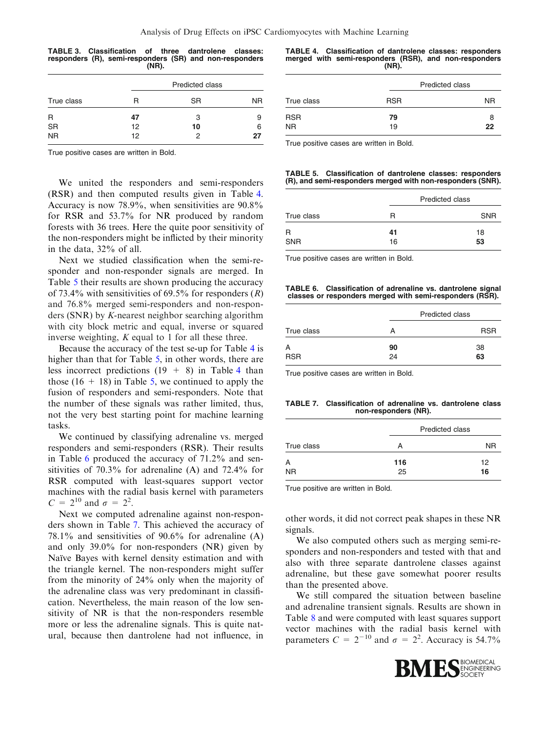<span id="page-6-0"></span>

| TABLE 3. Classification of three dantrolene classes:    |  |       |  |  |  |
|---------------------------------------------------------|--|-------|--|--|--|
| responders (R), semi-responders (SR) and non-responders |  |       |  |  |  |
|                                                         |  | (NR). |  |  |  |

|            |    | <b>Predicted class</b> |           |
|------------|----|------------------------|-----------|
| True class | R  | <b>SR</b>              | <b>NR</b> |
| R          | 47 | 3                      | 9         |
| <b>SR</b>  | 12 | 10                     | 6         |
| <b>NR</b>  | 12 | 2                      | 27        |

True positive cases are written in Bold.

We united the responders and semi-responders (RSR) and then computed results given in Table 4. Accuracy is now 78.9%, when sensitivities are 90.8% for RSR and 53.7% for NR produced by random forests with 36 trees. Here the quite poor sensitivity of the non-responders might be inflicted by their minority in the data, 32% of all.

Next we studied classification when the semi-responder and non-responder signals are merged. In Table 5 their results are shown producing the accuracy of 73.4% with sensitivities of 69.5% for responders  $(R)$ and 76.8% merged semi-responders and non-responders (SNR) by K-nearest neighbor searching algorithm with city block metric and equal, inverse or squared inverse weighting, K equal to 1 for all these three.

Because the accuracy of the test se-up for Table 4 is higher than that for Table 5, in other words, there are less incorrect predictions  $(19 + 8)$  in Table 4 than those  $(16 + 18)$  in Table 5, we continued to apply the fusion of responders and semi-responders. Note that the number of these signals was rather limited, thus, not the very best starting point for machine learning tasks.

We continued by classifying adrenaline vs. merged responders and semi-responders (RSR). Their results in Table 6 produced the accuracy of 71.2% and sensitivities of 70.3% for adrenaline (A) and 72.4% for RSR computed with least-squares support vector machines with the radial basis kernel with parameters  $C = 2^{10}$  and  $\sigma = 2^2$ .

Next we computed adrenaline against non-responders shown in Table 7. This achieved the accuracy of 78.1% and sensitivities of 90.6% for adrenaline (A) and only 39.0% for non-responders (NR) given by Naïve Bayes with kernel density estimation and with the triangle kernel. The non-responders might suffer from the minority of 24% only when the majority of the adrenaline class was very predominant in classification. Nevertheless, the main reason of the low sensitivity of NR is that the non-responders resemble more or less the adrenaline signals. This is quite natural, because then dantrolene had not influence, in

|  | TABLE 4. Classification_of_dantrolene_classes:_responders |       |  |  |  |
|--|-----------------------------------------------------------|-------|--|--|--|
|  | merged with semi-responders (RSR), and non-responders     |       |  |  |  |
|  |                                                           | (NR). |  |  |  |

|                         | Predicted class |           |  |  |  |
|-------------------------|-----------------|-----------|--|--|--|
| True class              | <b>RSR</b>      | <b>NR</b> |  |  |  |
| <b>RSR</b><br><b>NR</b> | 79<br>19        | 8<br>22   |  |  |  |

True positive cases are written in Bold.

#### TABLE 5. Classification of dantrolene classes: responders (R), and semi-responders merged with non-responders (SNR).

|                 |          | <b>Predicted class</b> |
|-----------------|----------|------------------------|
| True class      | R        | <b>SNR</b>             |
| R<br><b>SNR</b> | 41<br>16 | 18<br>53               |

True positive cases are written in Bold.

#### TABLE 6. Classification of adrenaline vs. dantrolene signal classes or responders merged with semi-responders (RSR).

| <b>Predicted class</b> |            |  |  |  |
|------------------------|------------|--|--|--|
| А                      | <b>RSR</b> |  |  |  |
| 90<br>24               | 38<br>63   |  |  |  |
|                        |            |  |  |  |

True positive cases are written in Bold.

TABLE 7. Classification of adrenaline vs. dantrolene class non-responders (NR).

|            | <b>Predicted class</b> |  |           |  |  |
|------------|------------------------|--|-----------|--|--|
| True class | А                      |  | <b>NR</b> |  |  |
| Α          | 116                    |  | 12        |  |  |
| NR.        | 25                     |  | 16        |  |  |
|            |                        |  |           |  |  |

True positive are written in Bold.

other words, it did not correct peak shapes in these NR signals.

We also computed others such as merging semi-responders and non-responders and tested with that and also with three separate dantrolene classes against adrenaline, but these gave somewhat poorer results than the presented above.

We still compared the situation between baseline and adrenaline transient signals. Results are shown in Table [8](#page-7-0) and were computed with least squares support vector machines with the radial basis kernel with parameters  $C = 2^{-10}$  and  $\sigma = 2^2$ . Accuracy is 54.7%

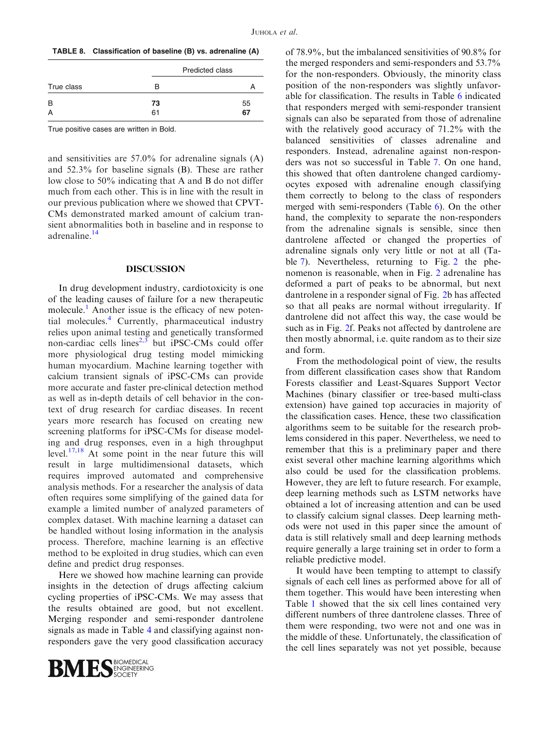<span id="page-7-0"></span>TABLE 8. Classification of baseline (B) vs. adrenaline (A)

|            |    | <b>Predicted class</b> |    |
|------------|----|------------------------|----|
| True class | в  |                        |    |
| B          | 73 |                        | 55 |
| A          | 61 |                        | 67 |

True positive cases are written in Bold.

and sensitivities are 57.0% for adrenaline signals (A) and 52.3% for baseline signals (B). These are rather low close to 50% indicating that A and B do not differ much from each other. This is in line with the result in our previous publication where we showed that CPVT-CMs demonstrated marked amount of calcium transient abnormalities both in baseline and in response to adrenaline.[14](#page-9-0)

### DISCUSSION

In drug development industry, cardiotoxicity is one of the leading causes of failure for a new therapeutic molecule.<sup>[1](#page-8-0)</sup> Another issue is the efficacy of new potential molecules.[4](#page-8-0) Currently, pharmaceutical industry relies upon animal testing and genetically transformed non-cardiac cells lines<sup> $2,3$ </sup> but iPSC-CMs could offer more physiological drug testing model mimicking human myocardium. Machine learning together with calcium transient signals of iPSC-CMs can provide more accurate and faster pre-clinical detection method as well as in-depth details of cell behavior in the context of drug research for cardiac diseases. In recent years more research has focused on creating new screening platforms for iPSC-CMs for disease modeling and drug responses, even in a high throughput level. $17,18$  At some point in the near future this will result in large multidimensional datasets, which requires improved automated and comprehensive analysis methods. For a researcher the analysis of data often requires some simplifying of the gained data for example a limited number of analyzed parameters of complex dataset. With machine learning a dataset can be handled without losing information in the analysis process. Therefore, machine learning is an effective method to be exploited in drug studies, which can even define and predict drug responses.

Here we showed how machine learning can provide insights in the detection of drugs affecting calcium cycling properties of iPSC-CMs. We may assess that the results obtained are good, but not excellent. Merging responder and semi-responder dantrolene signals as made in Table [4](#page-6-0) and classifying against nonresponders gave the very good classification accuracy of 78.9%, but the imbalanced sensitivities of 90.8% for the merged responders and semi-responders and 53.7% for the non-responders. Obviously, the minority class position of the non-responders was slightly unfavorable for classification. The results in Table [6](#page-6-0) indicated that responders merged with semi-responder transient signals can also be separated from those of adrenaline with the relatively good accuracy of 71.2% with the balanced sensitivities of classes adrenaline and responders. Instead, adrenaline against non-responders was not so successful in Table [7.](#page-6-0) On one hand, this showed that often dantrolene changed cardiomyocytes exposed with adrenaline enough classifying them correctly to belong to the class of responders merged with semi-responders (Table [6](#page-6-0)). On the other hand, the complexity to separate the non-responders from the adrenaline signals is sensible, since then dantrolene affected or changed the properties of adrenaline signals only very little or not at all (Table [7\)](#page-6-0). Nevertheless, returning to Fig. [2](#page-3-0) the phenomenon is reasonable, when in Fig. [2](#page-3-0) adrenaline has deformed a part of peaks to be abnormal, but next dantrolene in a responder signal of Fig. [2b](#page-3-0) has affected so that all peaks are normal without irregularity. If dantrolene did not affect this way, the case would be such as in Fig. [2](#page-3-0)f. Peaks not affected by dantrolene are then mostly abnormal, i.e. quite random as to their size and form.

From the methodological point of view, the results from different classification cases show that Random Forests classifier and Least-Squares Support Vector Machines (binary classifier or tree-based multi-class extension) have gained top accuracies in majority of the classification cases. Hence, these two classification algorithms seem to be suitable for the research problems considered in this paper. Nevertheless, we need to remember that this is a preliminary paper and there exist several other machine learning algorithms which also could be used for the classification problems. However, they are left to future research. For example, deep learning methods such as LSTM networks have obtained a lot of increasing attention and can be used to classify calcium signal classes. Deep learning methods were not used in this paper since the amount of data is still relatively small and deep learning methods require generally a large training set in order to form a reliable predictive model.

It would have been tempting to attempt to classify signals of each cell lines as performed above for all of them together. This would have been interesting when Table [1](#page-4-0) showed that the six cell lines contained very different numbers of three dantrolene classes. Three of them were responding, two were not and one was in the middle of these. Unfortunately, the classification of the cell lines separately was not yet possible, because

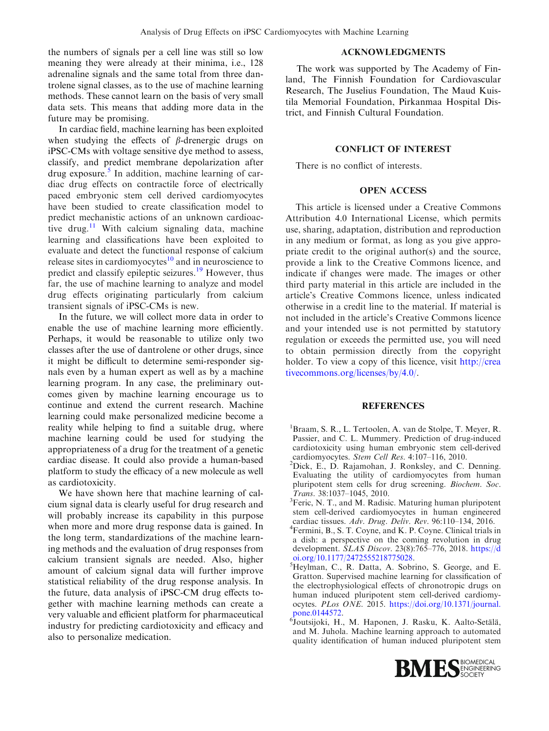<span id="page-8-0"></span>the numbers of signals per a cell line was still so low meaning they were already at their minima, i.e., 128 adrenaline signals and the same total from three dantrolene signal classes, as to the use of machine learning methods. These cannot learn on the basis of very small data sets. This means that adding more data in the future may be promising.

In cardiac field, machine learning has been exploited when studying the effects of  $\beta$ -drenergic drugs on iPSC-CMs with voltage sensitive dye method to assess, classify, and predict membrane depolarization after drug exposure.<sup>5</sup> In addition, machine learning of cardiac drug effects on contractile force of electrically paced embryonic stem cell derived cardiomyocytes have been studied to create classification model to predict mechanistic actions of an unknown cardioac-tive drug.<sup>[11](#page-9-0)</sup> With calcium signaling data, machine learning and classifications have been exploited to evaluate and detect the functional response of calcium release sites in cardiomyocytes $10$  and in neuroscience to predict and classify epileptic seizures.<sup>[19](#page-9-0)</sup> However, thus far, the use of machine learning to analyze and model drug effects originating particularly from calcium transient signals of iPSC-CMs is new.

In the future, we will collect more data in order to enable the use of machine learning more efficiently. Perhaps, it would be reasonable to utilize only two classes after the use of dantrolene or other drugs, since it might be difficult to determine semi-responder signals even by a human expert as well as by a machine learning program. In any case, the preliminary outcomes given by machine learning encourage us to continue and extend the current research. Machine learning could make personalized medicine become a reality while helping to find a suitable drug, where machine learning could be used for studying the appropriateness of a drug for the treatment of a genetic cardiac disease. It could also provide a human-based platform to study the efficacy of a new molecule as well as cardiotoxicity.

We have shown here that machine learning of calcium signal data is clearly useful for drug research and will probably increase its capability in this purpose when more and more drug response data is gained. In the long term, standardizations of the machine learning methods and the evaluation of drug responses from calcium transient signals are needed. Also, higher amount of calcium signal data will further improve statistical reliability of the drug response analysis. In the future, data analysis of iPSC-CM drug effects together with machine learning methods can create a very valuable and efficient platform for pharmaceutical industry for predicting cardiotoxicity and efficacy and also to personalize medication.

#### ACKNOWLEDGMENTS

The work was supported by The Academy of Finland, The Finnish Foundation for Cardiovascular Research, The Juselius Foundation, The Maud Kuistila Memorial Foundation, Pirkanmaa Hospital District, and Finnish Cultural Foundation.

# CONFLICT OF INTEREST

There is no conflict of interests.

### OPEN ACCESS

This article is licensed under a Creative Commons Attribution 4.0 International License, which permits use, sharing, adaptation, distribution and reproduction in any medium or format, as long as you give appropriate credit to the original author(s) and the source, provide a link to the Creative Commons licence, and indicate if changes were made. The images or other third party material in this article are included in the article's Creative Commons licence, unless indicated otherwise in a credit line to the material. If material is not included in the article's Creative Commons licence and your intended use is not permitted by statutory regulation or exceeds the permitted use, you will need to obtain permission directly from the copyright holder. To view a copy of this licence, visit [http://crea](http://creativecommons.org/licenses/by/4.0/) [tivecommons.org/licenses/by/4.0/.](http://creativecommons.org/licenses/by/4.0/)

### REFERENCES

- <sup>1</sup>Braam, S. R., L. Tertoolen, A. van de Stolpe, T. Meyer, R. Passier, and C. L. Mummery. Prediction of drug-induced cardiotoxicity using human embryonic stem cell-derived cardiomyocytes. Stem Cell Res. 4:107-116, 2010.
- ${}^{2}$ Dick, E., D. Rajamohan, J. Ronksley, and C. Denning. Evaluating the utility of cardiomyocytes from human pluripotent stem cells for drug screening. Biochem. Soc. Trans. 38:1037–1045, 2010. <sup>3</sup>
- ${}^{3}$ Feric, N. T., and M. Radisic. Maturing human pluripotent stem cell-derived cardiomyocytes in human engineered cardiac tissues. Adv. Drug. Deliv. Rev. 96:110-134, 2016.
- <sup>4</sup> Fermini, B., S. T. Coyne, and K. P. Coyne. Clinical trials in a dish: a perspective on the coming revolution in drug development. SLAS Discov. 23(8):765–776, 2018. [https://d](https://doi.org/10.1177/2472555218775028) [oi.org/10.1177/2472555218775028.](https://doi.org/10.1177/2472555218775028)
- <sup>5</sup>Heylman, C., R. Datta, A. Sobrino, S. George, and E. Gratton. Supervised machine learning for classification of the electrophysiological effects of chronotropic drugs on human induced pluripotent stem cell-derived cardiomyocytes. PLos ONE. 2015. [https://doi.org/10.1371/journal.](https://doi.org/10.1371/journal.pone.0144572) [pone.0144572](https://doi.org/10.1371/journal.pone.0144572).
- <sup>6</sup>Joutsijoki, H., M. Haponen, J. Rasku, K. Aalto-Setälä, and M. Juhola. Machine learning approach to automated quality identification of human induced pluripotent stem